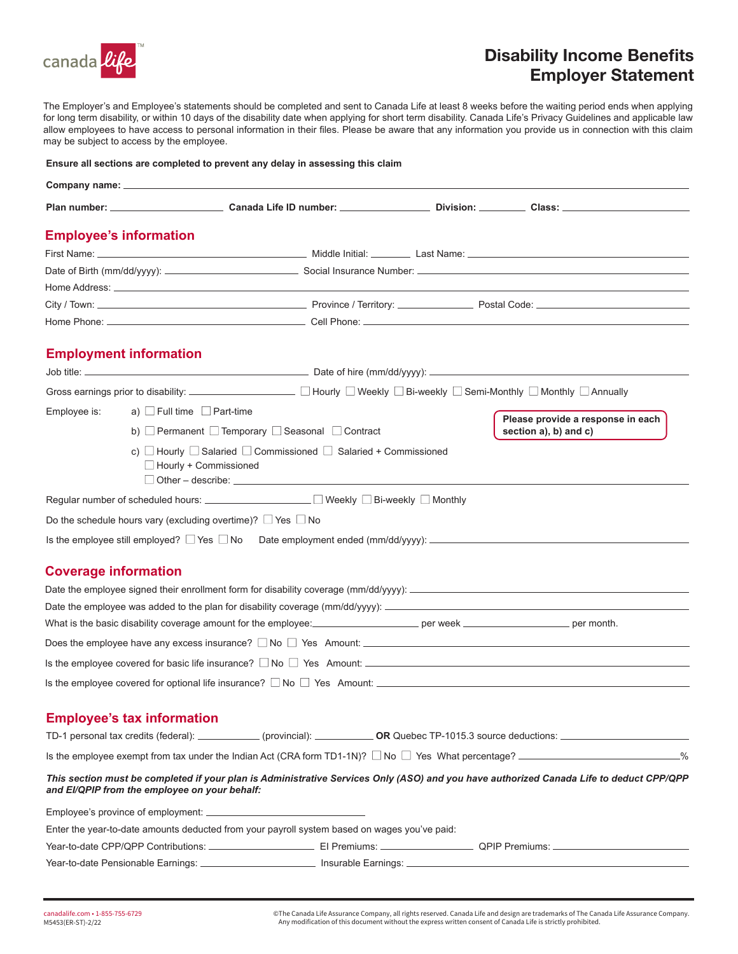

## Disability Income Benefits Employer Statement

The Employer's and Employee's statements should be completed and sent to Canada Life at least 8 weeks before the waiting period ends when applying for long term disability, or within 10 days of the disability date when applying for short term disability. Canada Life's Privacy Guidelines and applicable law allow employees to have access to personal information in their files. Please be aware that any information you provide us in connection with this claim may be subject to access by the employee.

| Ensure all sections are completed to prevent any delay in assessing this claim |  |
|--------------------------------------------------------------------------------|--|
|--------------------------------------------------------------------------------|--|

|                             | <b>Employee's information</b>                 |                                                                                                                                                                                                                                                                     |                                                            |
|-----------------------------|-----------------------------------------------|---------------------------------------------------------------------------------------------------------------------------------------------------------------------------------------------------------------------------------------------------------------------|------------------------------------------------------------|
|                             |                                               |                                                                                                                                                                                                                                                                     |                                                            |
|                             |                                               |                                                                                                                                                                                                                                                                     |                                                            |
|                             |                                               |                                                                                                                                                                                                                                                                     |                                                            |
|                             |                                               |                                                                                                                                                                                                                                                                     |                                                            |
|                             |                                               |                                                                                                                                                                                                                                                                     |                                                            |
|                             | <b>Employment information</b>                 |                                                                                                                                                                                                                                                                     |                                                            |
|                             |                                               |                                                                                                                                                                                                                                                                     |                                                            |
|                             |                                               | Gross earnings prior to disability:<br>□ Hourly □ Weekly □ Bi-weekly □ Semi-Monthly □ Monthly □ Annually                                                                                                                                                            |                                                            |
| Employee is:                | a) $\Box$ Full time $\Box$ Part-time          |                                                                                                                                                                                                                                                                     |                                                            |
|                             |                                               | b) Permanent $\Box$ Temporary $\Box$ Seasonal $\Box$ Contract                                                                                                                                                                                                       | Please provide a response in each<br>section a), b) and c) |
|                             | $\Box$ Hourly + Commissioned                  | c) $\Box$ Hourly $\Box$ Salaried $\Box$ Commissioned $\Box$ Salaried + Commissioned                                                                                                                                                                                 |                                                            |
|                             |                                               | Regular number of scheduled hours: ___________________ □ Weekly □ Bi-weekly □ Monthly                                                                                                                                                                               |                                                            |
|                             |                                               | Do the schedule hours vary (excluding overtime)? $\Box$ Yes $\Box$ No                                                                                                                                                                                               |                                                            |
|                             |                                               |                                                                                                                                                                                                                                                                     |                                                            |
|                             |                                               |                                                                                                                                                                                                                                                                     |                                                            |
| <b>Coverage information</b> |                                               |                                                                                                                                                                                                                                                                     |                                                            |
|                             |                                               |                                                                                                                                                                                                                                                                     |                                                            |
|                             |                                               |                                                                                                                                                                                                                                                                     |                                                            |
|                             |                                               |                                                                                                                                                                                                                                                                     |                                                            |
|                             |                                               | Does the employee have any excess insurance? $\Box$ No $\Box$ Yes Amount: $\Box$ and $\Box$ and $\Box$ and $\Box$ and $\Box$ and $\Box$ and $\Box$ and $\Box$ and $\Box$ and $\Box$ and $\Box$ and $\Box$ and $\Box$ and $\Box$ and $\Box$ and $\Box$ and $\Box$ an |                                                            |
|                             |                                               | Is the employee covered for basic life insurance? $\square$ No $\square$ Yes Amount: $\square$                                                                                                                                                                      |                                                            |
|                             |                                               | Is the employee covered for optional life insurance? $\Box$ No $\Box$ Yes Amount: $\Box$ Amount: $\Box$ Amount: $\Box$ Amount: $\Box$ Amount: $\Box$ Amount: $\Box$ Amount: $\Box$ Amount: $\Box$ Amount: $\Box$ Amount: $\Box$ Amount: $\Box$ Amount:              |                                                            |
|                             | <b>Employee's tax information</b>             |                                                                                                                                                                                                                                                                     |                                                            |
|                             |                                               |                                                                                                                                                                                                                                                                     |                                                            |
|                             |                                               |                                                                                                                                                                                                                                                                     | $\frac{0}{0}$                                              |
|                             | and El/QPIP from the employee on your behalf: | This section must be completed if your plan is Administrative Services Only (ASO) and you have authorized Canada Life to deduct CPP/QPP                                                                                                                             |                                                            |
|                             |                                               |                                                                                                                                                                                                                                                                     |                                                            |
|                             |                                               | Enter the year-to-date amounts deducted from your payroll system based on wages you've paid:                                                                                                                                                                        |                                                            |
|                             |                                               |                                                                                                                                                                                                                                                                     |                                                            |
|                             |                                               |                                                                                                                                                                                                                                                                     |                                                            |

© The Canada Life Assurance Company, all rights reserved. Canada Life and design are trademarks of The Canada Life Assurance Company. Any modification of this document without the express written consent of Canada Life is strictly prohibited.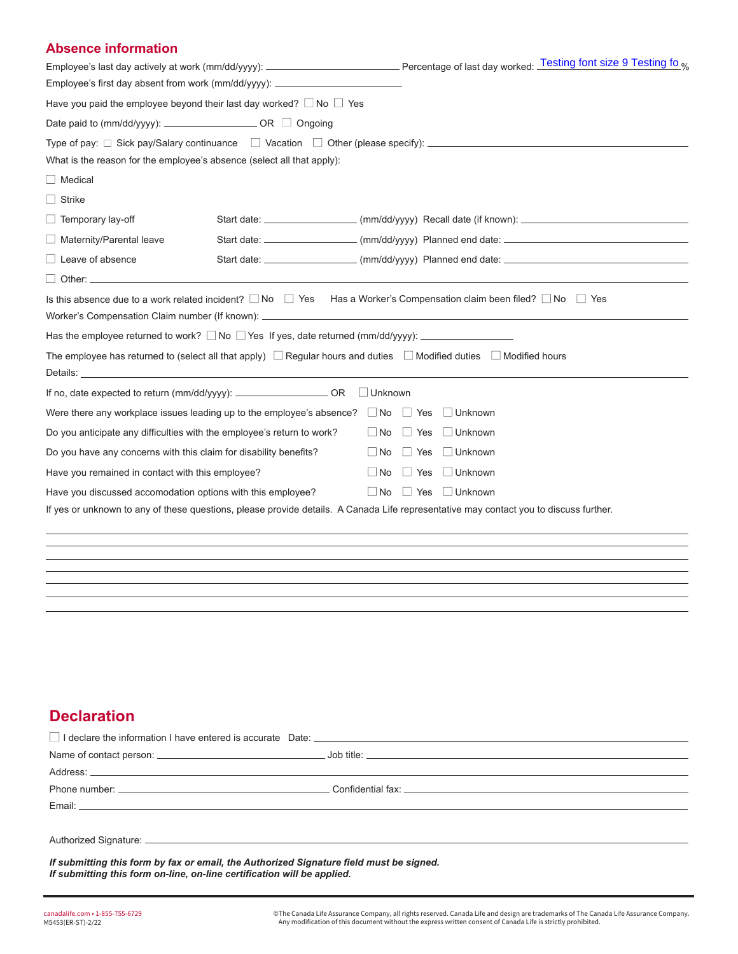### **Absence information**

|                                                                                                                                                                                                                                      | Employee's last day actively at work (mm/dd/yyyy): _______________________________Percentage of last day worked: Testing font size 9 Testing fo <sub>%</sub>                             |
|--------------------------------------------------------------------------------------------------------------------------------------------------------------------------------------------------------------------------------------|------------------------------------------------------------------------------------------------------------------------------------------------------------------------------------------|
| Employee's first day absent from work (mm/dd/yyyy): ____________________________                                                                                                                                                     |                                                                                                                                                                                          |
| Have you paid the employee beyond their last day worked? $\Box$ No $\Box$ Yes                                                                                                                                                        |                                                                                                                                                                                          |
| Date paid to (mm/dd/yyyy): ____________________OR □ Ongoing                                                                                                                                                                          |                                                                                                                                                                                          |
| Type of pay: $\Box$ Sick pay/Salary continuance $\Box$ Vacation $\Box$ Other (please specify): $\Box$                                                                                                                                |                                                                                                                                                                                          |
| What is the reason for the employee's absence (select all that apply):                                                                                                                                                               |                                                                                                                                                                                          |
| $\Box$ Medical                                                                                                                                                                                                                       |                                                                                                                                                                                          |
| $\Box$ Strike<br>$\Box$ Temporary lay-off<br>$\Box$ Maternity/Parental leave                                                                                                                                                         | Start date: _____________________(mm/dd/yyyy) Recall date (if known): _____________________________<br>Start date: _____________________(mm/dd/yyyy) Planned end date: _________________ |
| $\Box$ Leave of absence                                                                                                                                                                                                              |                                                                                                                                                                                          |
| <u>Dether: 2000 Contract and the set of the set of the set of the set of the set of the set of the set of the set of the set of the set of the set of the set of the set of the set of the set of the set of the set of the set </u> |                                                                                                                                                                                          |
| Is this absence due to a work related incident? $\Box$ No $\Box$ Yes Has a Worker's Compensation claim been filed? $\Box$ No $\Box$ Yes                                                                                              |                                                                                                                                                                                          |
| The employee has returned to (select all that apply) $\Box$ Regular hours and duties $\Box$ Modified duties $\Box$ Modified hours                                                                                                    |                                                                                                                                                                                          |
| If no, date expected to return (mm/dd/yyyy): __________________________OR                                                                                                                                                            | $\Box$ Unknown                                                                                                                                                                           |
| Were there any workplace issues leading up to the employee's absence? $\Box$ No $\Box$ Yes $\Box$ Unknown                                                                                                                            |                                                                                                                                                                                          |
| Do you anticipate any difficulties with the employee's return to work?                                                                                                                                                               | $\Box$ No $\Box$ Yes<br>$\Box$ Unknown                                                                                                                                                   |
| Do you have any concerns with this claim for disability benefits?                                                                                                                                                                    | No Yes Unknown                                                                                                                                                                           |
| Have you remained in contact with this employee?                                                                                                                                                                                     | $\Box$ No<br>$\Box$ Yes<br>$\Box$ Unknown                                                                                                                                                |
| Have you discussed accomodation options with this employee?                                                                                                                                                                          | $\Box$ No $\Box$ Yes $\Box$ Unknown                                                                                                                                                      |
| If yes or unknown to any of these questions, please provide details. A Canada Life representative may contact you to discuss further.                                                                                                |                                                                                                                                                                                          |
|                                                                                                                                                                                                                                      |                                                                                                                                                                                          |
|                                                                                                                                                                                                                                      |                                                                                                                                                                                          |
|                                                                                                                                                                                                                                      |                                                                                                                                                                                          |

# **Declaration**

|                                                                                                      | Email: <b>Example 2008</b> Contract the Contract of Contract Contract of Contract Contract Contract Contract Contract Contract Contract Contract Contract Contract Contract Contract Contract Contract Contract Contract Contract C |
|------------------------------------------------------------------------------------------------------|-------------------------------------------------------------------------------------------------------------------------------------------------------------------------------------------------------------------------------------|
|                                                                                                      |                                                                                                                                                                                                                                     |
|                                                                                                      |                                                                                                                                                                                                                                     |
| المالية والمستحيل والمتحاولة والمستحيل والمستحدث والمتحاول والمتحاول والمتحل والمتحل والمتحل والمتحل |                                                                                                                                                                                                                                     |

*If submitting this form by fax or email, the Authorized Signature field must be signed. If submitting this form on-line, on-line certification will be applied.*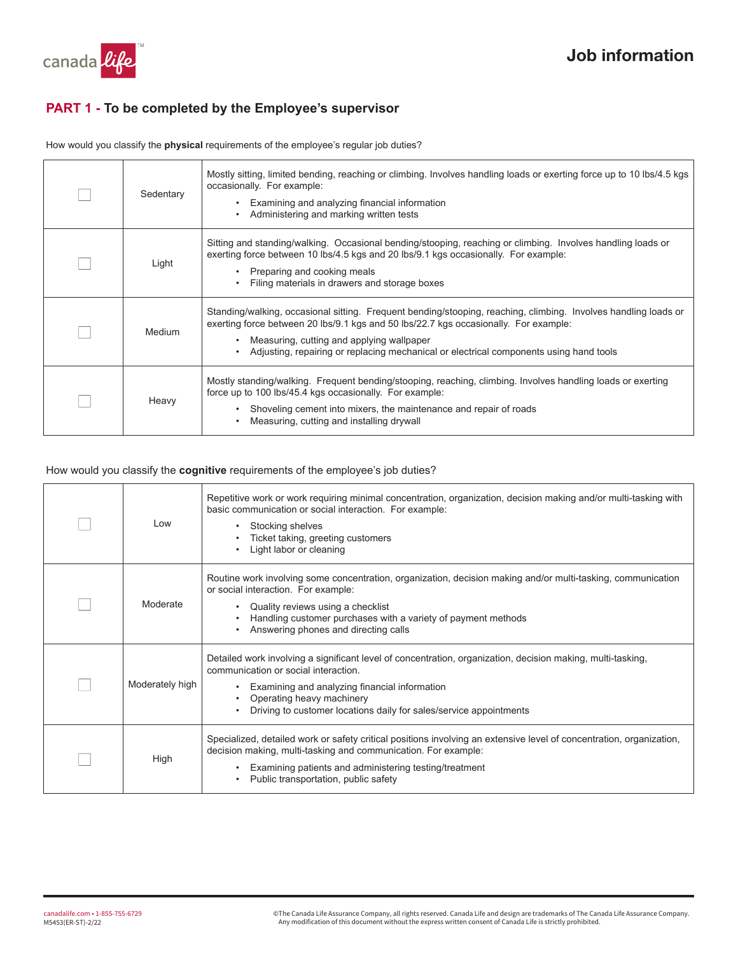

## **PART 1 - To be completed by the Employee's supervisor**

How would you classify the **physical** requirements of the employee's regular job duties?

| Sedentary | Mostly sitting, limited bending, reaching or climbing. Involves handling loads or exerting force up to 10 lbs/4.5 kgs<br>occasionally. For example:<br>Examining and analyzing financial information<br>Administering and marking written tests                                                                                                |
|-----------|------------------------------------------------------------------------------------------------------------------------------------------------------------------------------------------------------------------------------------------------------------------------------------------------------------------------------------------------|
| Light     | Sitting and standing/walking. Occasional bending/stooping, reaching or climbing. Involves handling loads or<br>exerting force between 10 lbs/4.5 kgs and 20 lbs/9.1 kgs occasionally. For example:<br>Preparing and cooking meals<br>Filing materials in drawers and storage boxes                                                             |
| Medium    | Standing/walking, occasional sitting. Frequent bending/stooping, reaching, climbing. Involves handling loads or<br>exerting force between 20 lbs/9.1 kgs and 50 lbs/22.7 kgs occasionally. For example:<br>Measuring, cutting and applying wallpaper<br>Adjusting, repairing or replacing mechanical or electrical components using hand tools |
| Heavy     | Mostly standing/walking. Frequent bending/stooping, reaching, climbing. Involves handling loads or exerting<br>force up to 100 lbs/45.4 kgs occasionally. For example:<br>Shoveling cement into mixers, the maintenance and repair of roads<br>Measuring, cutting and installing drywall                                                       |

#### How would you classify the **cognitive** requirements of the employee's job duties?

| Low             | Repetitive work or work requiring minimal concentration, organization, decision making and/or multi-tasking with<br>basic communication or social interaction. For example:<br>Stocking shelves<br>Ticket taking, greeting customers<br>Light labor or cleaning                                         |
|-----------------|---------------------------------------------------------------------------------------------------------------------------------------------------------------------------------------------------------------------------------------------------------------------------------------------------------|
| Moderate        | Routine work involving some concentration, organization, decision making and/or multi-tasking, communication<br>or social interaction. For example:<br>Quality reviews using a checklist<br>Handling customer purchases with a variety of payment methods<br>Answering phones and directing calls       |
| Moderately high | Detailed work involving a significant level of concentration, organization, decision making, multi-tasking,<br>communication or social interaction.<br>Examining and analyzing financial information<br>Operating heavy machinery<br>Driving to customer locations daily for sales/service appointments |
| High            | Specialized, detailed work or safety critical positions involving an extensive level of concentration, organization,<br>decision making, multi-tasking and communication. For example:<br>Examining patients and administering testing/treatment<br>Public transportation, public safety                |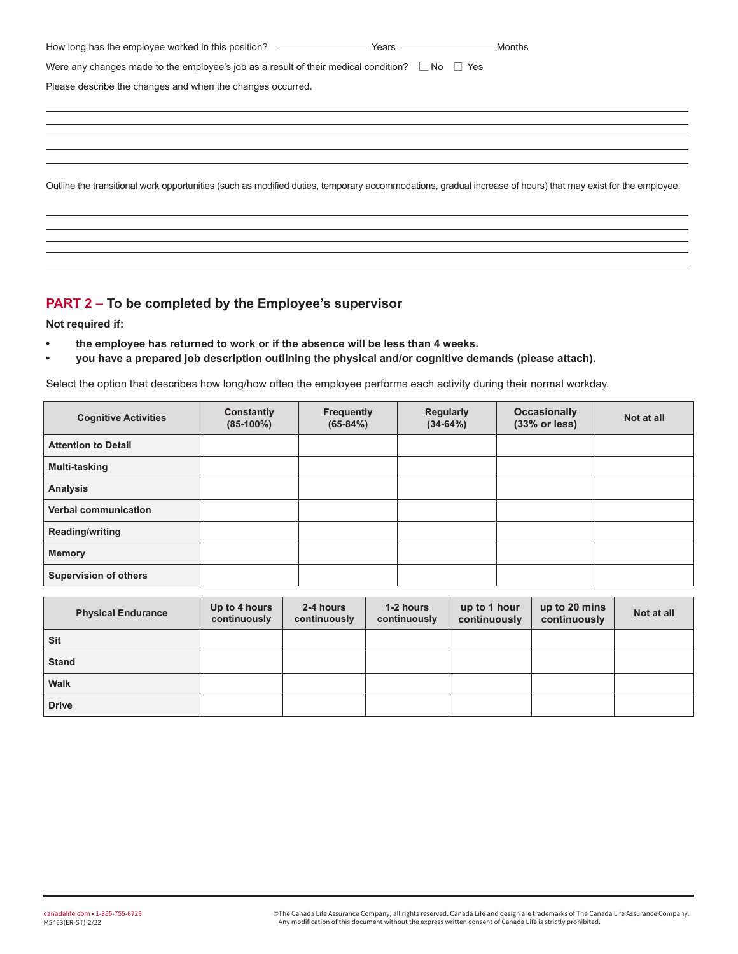| Were any changes made to the employee's job as a result of their medical condition? $\Box$ No $\Box$ Yes                                                    |  |
|-------------------------------------------------------------------------------------------------------------------------------------------------------------|--|
| Please describe the changes and when the changes occurred.                                                                                                  |  |
|                                                                                                                                                             |  |
|                                                                                                                                                             |  |
|                                                                                                                                                             |  |
|                                                                                                                                                             |  |
| Outline the transitional work opportunities (such as modified duties, temporary accommodations, gradual increase of hours) that may exist for the employee: |  |

## **PART 2 – To be completed by the Employee's supervisor**

**Not required if:** 

- **the employee has returned to work or if the absence will be less than 4 weeks.**
- **you have a prepared job description outlining the physical and/or cognitive demands (please attach).**

Select the option that describes how long/how often the employee performs each activity during their normal workday.

| <b>Cognitive Activities</b>  | Constantly<br>$(85-100\%)$ | <b>Frequently</b><br>$(65-84%)$ | <b>Regularly</b><br>$(34-64%)$ | <b>Occasionally</b><br>(33% or less) | Not at all |
|------------------------------|----------------------------|---------------------------------|--------------------------------|--------------------------------------|------------|
| <b>Attention to Detail</b>   |                            |                                 |                                |                                      |            |
| Multi-tasking                |                            |                                 |                                |                                      |            |
| <b>Analysis</b>              |                            |                                 |                                |                                      |            |
| <b>Verbal communication</b>  |                            |                                 |                                |                                      |            |
| Reading/writing              |                            |                                 |                                |                                      |            |
| <b>Memory</b>                |                            |                                 |                                |                                      |            |
| <b>Supervision of others</b> |                            |                                 |                                |                                      |            |

| <b>Physical Endurance</b> | Up to 4 hours<br>continuously | 2-4 hours<br>continuously | 1-2 hours<br>continuously | up to 1 hour<br>continuously | up to 20 mins<br>continuously | Not at all |
|---------------------------|-------------------------------|---------------------------|---------------------------|------------------------------|-------------------------------|------------|
| Sit                       |                               |                           |                           |                              |                               |            |
| <b>Stand</b>              |                               |                           |                           |                              |                               |            |
| <b>Walk</b>               |                               |                           |                           |                              |                               |            |
| <b>Drive</b>              |                               |                           |                           |                              |                               |            |

canadalife.com • 1-855-755-6729 © The Canada Life Assurance Company, all rights reserved. Canada Life and design are trademarks of The Canada Life Assurance Company. M5453(ER-ST)-2/22 Any modification of this document without the express written consent of Canada Life is strictly prohibited.